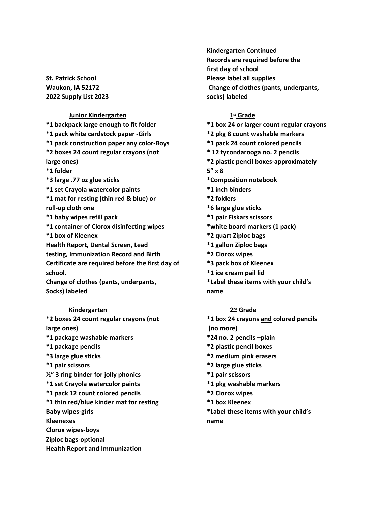**St. Patrick School Waukon, IA 52172 2022 Supply List 2023**

# **Junior Kindergarten**

**\*1 backpack large enough to fit folder \*1 pack white cardstock paper -Girls \*1 pack construction paper any color-Boys \*2 boxes 24 count regular crayons (not large ones) \*1 folder \*3 large .77 oz glue sticks \*1 set Crayola watercolor paints \*1 mat for resting (thin red & blue) or roll-up cloth one \*1 baby wipes refill pack \*1 container of Clorox disinfecting wipes \*1 box of Kleenex Health Report, Dental Screen, Lead testing, Immunization Record and Birth Certificate are required before the first day of school. Change of clothes (pants, underpants, Socks) labeled** 

### **Kindergarten**

**\*2 boxes 24 count regular crayons (not large ones) \*1 package washable markers \*1 package pencils \*3 large glue sticks \*1 pair scissors ½" 3 ring binder for jolly phonics \*1 set Crayola watercolor paints \*1 pack 12 count colored pencils \*1 thin red/blue kinder mat for resting Baby wipes-girls Kleenexes Clorox wipes-boys Ziploc bags-optional Health Report and Immunization**

**Kindergarten Continued Records are required before the first day of school Please label all supplies Change of clothes (pants, underpants, socks) labeled**

# **1st Grade**

**\*1 box 24 or larger count regular crayons \*2 pkg 8 count washable markers \*1 pack 24 count colored pencils \* 12 tycondarooga no. 2 pencils \*2 plastic pencil boxes-approximately 5" x 8 \*Composition notebook \*1 inch binders \*2 folders \*6 large glue sticks \*1 pair Fiskars scissors \*white board markers (1 pack) \*2 quart Ziploc bags \*1 gallon Ziploc bags \*2 Clorox wipes \*3 pack box of Kleenex \*1 ice cream pail lid \*Label these items with your child's**

**name**

### **2nd Grade**

**\*1 box 24 crayons and colored pencils (no more) \*24 no. 2 pencils –plain \*2 plastic pencil boxes \*2 medium pink erasers \*2 large glue sticks \*1 pair scissors \*1 pkg washable markers \*2 Clorox wipes \*1 box Kleenex \*Label these items with your child's**

**name**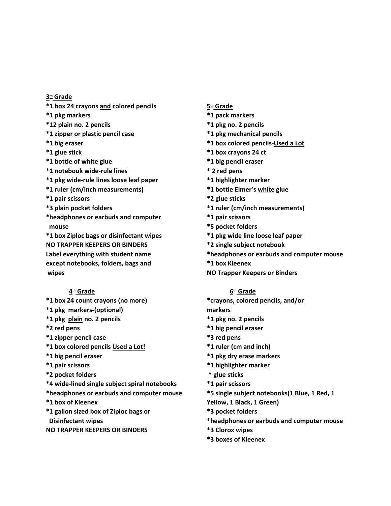**3rd Grade \*1 box 24 crayons and colored pencils \*1 pkg markers \*12 plain no. 2 pencils \*1 zipper or plastic pencil case \*1 big eraser \*1 glue stick \*1 bottle of white glue \*1 notebook wide-rule lines \*1 pkg wide-rule lines loose leaf paper \*1 ruler (cm/inch measurements) \*1 pair scissors \*3 plain pocket folders \*headphones or earbuds and computer mouse \*1 box Ziploc bags or disinfectant wipes NO TRAPPER KEEPERS OR BINDERS Label everything with student name except notebooks, folders, bags and wipes**

#### **4th Grade**

- **\*1 box 24 count crayons (no more)**
- **\*1 pkg markers-(optional)**
- **\*1 pkg plain no. 2 pencils**
- **\*2 red pens**
- **\*1 zipper pencil case**
- **\*1 box colored pencils Used a Lot!**
- **\*1 big pencil eraser**
- **\*1 pair scissors**
- **\*2 pocket folders**
- **\*4 wide-lined single subject spiral notebooks**
- **\*headphones or earbuds and computer mouse**
- **\*1 box of Kleenex**
- **\*1 gallon sized box of Ziploc bags or Disinfectant wipes**
- **NO TRAPPER KEEPERS OR BINDERS**
- **5th Grade**
- **\*1 pack markers**
- **\*1 pkg no. 2 pencils \*1 pkg mechanical pencils**
- **\*1 box colored pencils-Used a Lot**
- **\*1 box crayons 24 ct**
- **\*1 big pencil eraser**
- **\* 2 red pens**
- **\*1 highlighter marker**
- **\*1 bottle Elmer's white glue**
- **\*2 glue sticks**
- **\*1 ruler (cm/inch measurements)**
- **\*1 pair scissors**
- **\*5 pocket folders**
- **\*1 pkg wide line loose leaf paper**
- **\*2 single subject notebook**
- **\*headphones or earbuds and computer mouse**
- **\*1 box Kleenex**
- **NO Trapper Keepers or Binders**

#### **6th Grade**

**\*crayons, colored pencils, and/or**

**markers**

- **\*1 pkg no. 2 pencils**
- **\*1 big pencil eraser**
- **\*3 red pens**
- **\*1 ruler (cm and inch)**
- **\*1 pkg dry erase markers**
- **\*1 highlighter marker**
- **\* glue sticks**
- **\*1 pair scissors**
- **\*5 single subject notebooks(1 Blue, 1 Red, 1**
- **Yellow, 1 Black, 1 Green)**
- **\*3 pocket folders**
- **\*headphones or earbuds and computer mouse**
- **\*3 Clorox wipes**
- **\*3 boxes of Kleenex**